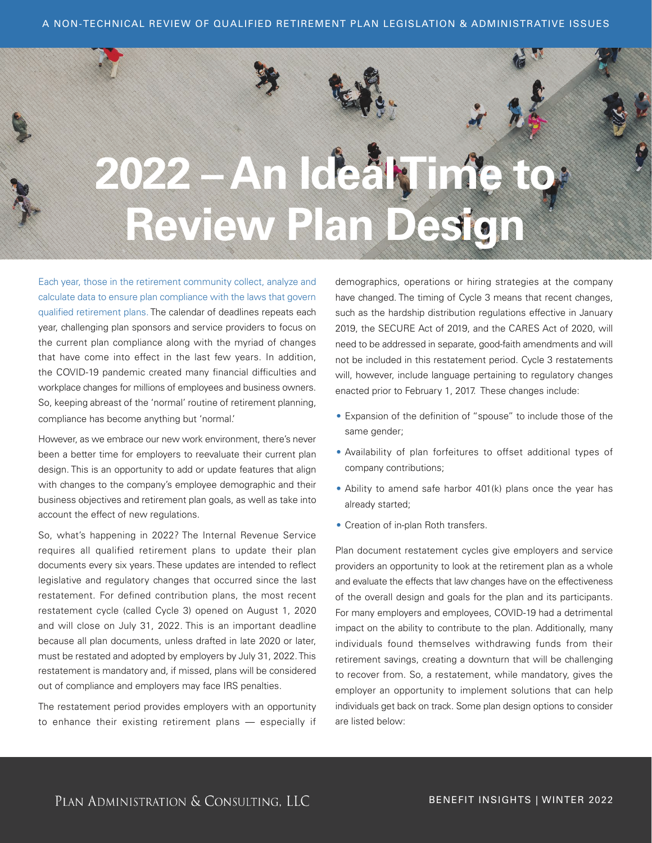

Each year, those in the retirement community collect, analyze and calculate data to ensure plan compliance with the laws that govern qualified retirement plans. The calendar of deadlines repeats each year, challenging plan sponsors and service providers to focus on the current plan compliance along with the myriad of changes that have come into effect in the last few years. In addition, the COVID-19 pandemic created many financial difficulties and workplace changes for millions of employees and business owners. So, keeping abreast of the 'normal' routine of retirement planning, compliance has become anything but 'normal.'

However, as we embrace our new work environment, there's never been a better time for employers to reevaluate their current plan design. This is an opportunity to add or update features that align with changes to the company's employee demographic and their business objectives and retirement plan goals, as well as take into account the effect of new regulations.

So, what's happening in 2022? The Internal Revenue Service requires all qualified retirement plans to update their plan documents every six years. These updates are intended to reflect legislative and regulatory changes that occurred since the last restatement. For defined contribution plans, the most recent restatement cycle (called Cycle 3) opened on August 1, 2020 and will close on July 31, 2022. This is an important deadline because all plan documents, unless drafted in late 2020 or later, must be restated and adopted by employers by July 31, 2022. This restatement is mandatory and, if missed, plans will be considered out of compliance and employers may face IRS penalties.

The restatement period provides employers with an opportunity to enhance their existing retirement plans — especially if

demographics, operations or hiring strategies at the company have changed. The timing of Cycle 3 means that recent changes, such as the hardship distribution regulations effective in January 2019, the SECURE Act of 2019, and the CARES Act of 2020, will need to be addressed in separate, good-faith amendments and will not be included in this restatement period. Cycle 3 restatements will, however, include language pertaining to regulatory changes enacted prior to February 1, 2017. These changes include:

- Expansion of the definition of "spouse" to include those of the same gender;
- Availability of plan forfeitures to offset additional types of company contributions;
- Ability to amend safe harbor 401(k) plans once the year has already started;
- Creation of in-plan Roth transfers.

Plan document restatement cycles give employers and service providers an opportunity to look at the retirement plan as a whole and evaluate the effects that law changes have on the effectiveness of the overall design and goals for the plan and its participants. For many employers and employees, COVID-19 had a detrimental impact on the ability to contribute to the plan. Additionally, many individuals found themselves withdrawing funds from their retirement savings, creating a downturn that will be challenging to recover from. So, a restatement, while mandatory, gives the employer an opportunity to implement solutions that can help individuals get back on track. Some plan design options to consider are listed below: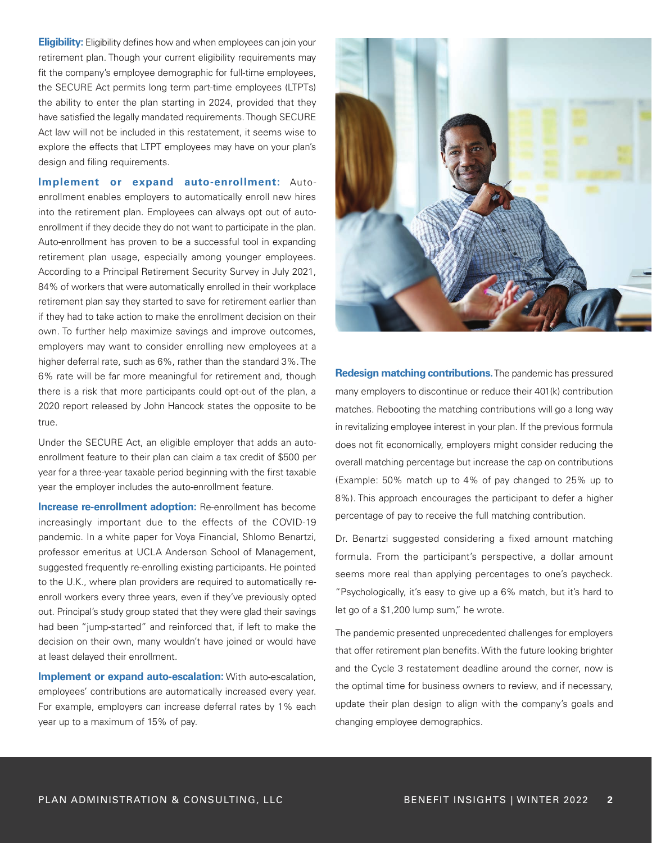**Eligibility:** Eligibility defines how and when employees can join your retirement plan. Though your current eligibility requirements may fit the company's employee demographic for full-time employees, the SECURE Act permits long term part-time employees (LTPTs) the ability to enter the plan starting in 2024, provided that they have satisfied the legally mandated requirements. Though SECURE Act law will not be included in this restatement, it seems wise to explore the effects that LTPT employees may have on your plan's design and filing requirements.

**Implement or expand auto-enrollment:** Autoenrollment enables employers to automatically enroll new hires into the retirement plan. Employees can always opt out of autoenrollment if they decide they do not want to participate in the plan. Auto-enrollment has proven to be a successful tool in expanding retirement plan usage, especially among younger employees. According to a Principal Retirement Security Survey in July 2021, 84% of workers that were automatically enrolled in their workplace retirement plan say they started to save for retirement earlier than if they had to take action to make the enrollment decision on their own. To further help maximize savings and improve outcomes, employers may want to consider enrolling new employees at a higher deferral rate, such as 6%, rather than the standard 3%. The 6% rate will be far more meaningful for retirement and, though there is a risk that more participants could opt-out of the plan, a 2020 report released by John Hancock states the opposite to be true.

Under the SECURE Act, an eligible employer that adds an autoenrollment feature to their plan can claim a tax credit of \$500 per year for a three-year taxable period beginning with the first taxable year the employer includes the auto-enrollment feature.

**Increase re-enrollment adoption:** Re-enrollment has become increasingly important due to the effects of the COVID-19 pandemic. In a white paper for Voya Financial, Shlomo Benartzi, professor emeritus at UCLA Anderson School of Management, suggested frequently re-enrolling existing participants. He pointed to the U.K., where plan providers are required to automatically reenroll workers every three years, even if they've previously opted out. Principal's study group stated that they were glad their savings had been "jump-started" and reinforced that, if left to make the decision on their own, many wouldn't have joined or would have at least delayed their enrollment.

**Implement or expand auto-escalation:** With auto-escalation, employees' contributions are automatically increased every year. For example, employers can increase deferral rates by 1% each year up to a maximum of 15% of pay.



**Redesign matching contributions.**The pandemic has pressured many employers to discontinue or reduce their 401(k) contribution matches. Rebooting the matching contributions will go a long way in revitalizing employee interest in your plan. If the previous formula does not fit economically, employers might consider reducing the overall matching percentage but increase the cap on contributions (Example: 50% match up to 4% of pay changed to 25% up to 8%). This approach encourages the participant to defer a higher percentage of pay to receive the full matching contribution.

Dr. Benartzi suggested considering a fixed amount matching formula. From the participant's perspective, a dollar amount seems more real than applying percentages to one's paycheck. "Psychologically, it's easy to give up a 6% match, but it's hard to let go of a \$1,200 lump sum," he wrote.

The pandemic presented unprecedented challenges for employers that offer retirement plan benefits. With the future looking brighter and the Cycle 3 restatement deadline around the corner, now is the optimal time for business owners to review, and if necessary, update their plan design to align with the company's goals and changing employee demographics.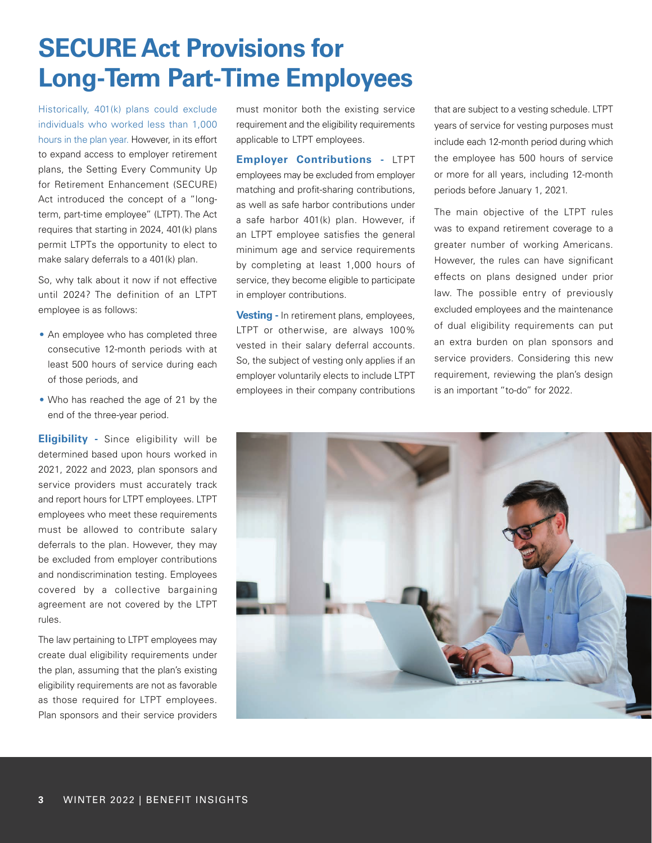# **SECURE Act Provisions for Long-Term Part-Time Employees**

Historically, 401(k) plans could exclude individuals who worked less than 1,000 hours in the plan year. However, in its effort to expand access to employer retirement plans, the Setting Every Community Up for Retirement Enhancement (SECURE) Act introduced the concept of a "longterm, part-time employee" (LTPT). The Act requires that starting in 2024, 401(k) plans permit LTPTs the opportunity to elect to make salary deferrals to a 401(k) plan.

So, why talk about it now if not effective until 2024? The definition of an LTPT employee is as follows:

- An employee who has completed three consecutive 12-month periods with at least 500 hours of service during each of those periods, and
- Who has reached the age of 21 by the end of the three-year period.

**Eligibility -** Since eligibility will be determined based upon hours worked in 2021, 2022 and 2023, plan sponsors and service providers must accurately track and report hours for LTPT employees. LTPT employees who meet these requirements must be allowed to contribute salary deferrals to the plan. However, they may be excluded from employer contributions and nondiscrimination testing. Employees covered by a collective bargaining agreement are not covered by the LTPT rules.

The law pertaining to LTPT employees may create dual eligibility requirements under the plan, assuming that the plan's existing eligibility requirements are not as favorable as those required for LTPT employees. Plan sponsors and their service providers

must monitor both the existing service requirement and the eligibility requirements applicable to LTPT employees.

**Employer Contributions -** LTPT employees may be excluded from employer matching and profit-sharing contributions, as well as safe harbor contributions under a safe harbor 401(k) plan. However, if an LTPT employee satisfies the general minimum age and service requirements by completing at least 1,000 hours of service, they become eligible to participate in employer contributions.

**Vesting -** In retirement plans, employees, LTPT or otherwise, are always 100% vested in their salary deferral accounts. So, the subject of vesting only applies if an employer voluntarily elects to include LTPT employees in their company contributions that are subject to a vesting schedule. LTPT years of service for vesting purposes must include each 12-month period during which the employee has 500 hours of service or more for all years, including 12-month periods before January 1, 2021.

The main objective of the LTPT rules was to expand retirement coverage to a greater number of working Americans. However, the rules can have significant effects on plans designed under prior law. The possible entry of previously excluded employees and the maintenance of dual eligibility requirements can put an extra burden on plan sponsors and service providers. Considering this new requirement, reviewing the plan's design is an important "to-do" for 2022.

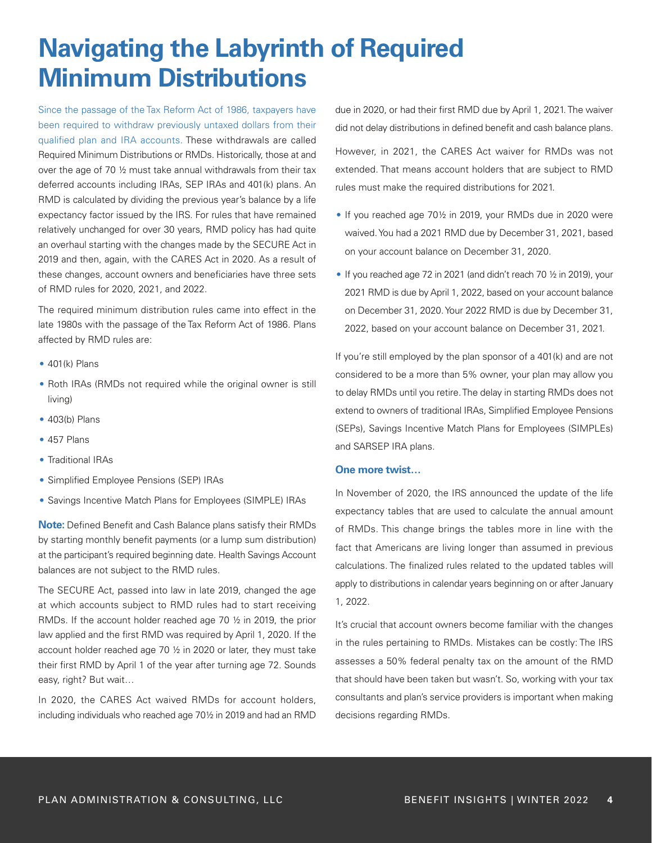## **Navigating the Labyrinth of Required Minimum Distributions**

Since the passage of the Tax Reform Act of 1986, taxpayers have been required to withdraw previously untaxed dollars from their qualified plan and IRA accounts. These withdrawals are called Required Minimum Distributions or RMDs. Historically, those at and over the age of 70 ½ must take annual withdrawals from their tax deferred accounts including IRAs, SEP IRAs and 401(k) plans. An RMD is calculated by dividing the previous year's balance by a life expectancy factor issued by the IRS. For rules that have remained relatively unchanged for over 30 years, RMD policy has had quite an overhaul starting with the changes made by the SECURE Act in 2019 and then, again, with the CARES Act in 2020. As a result of these changes, account owners and beneficiaries have three sets of RMD rules for 2020, 2021, and 2022.

The required minimum distribution rules came into effect in the late 1980s with the passage of the Tax Reform Act of 1986. Plans affected by RMD rules are:

- $\bullet$  401(k) Plans
- Roth IRAs (RMDs not required while the original owner is still living)
- 403(b) Plans
- 457 Plans
- Traditional IRAs
- Simplified Employee Pensions (SEP) IRAs
- Savings Incentive Match Plans for Employees (SIMPLE) IRAs

**Note:** Defined Benefit and Cash Balance plans satisfy their RMDs by starting monthly benefit payments (or a lump sum distribution) at the participant's required beginning date. Health Savings Account balances are not subject to the RMD rules.

The SECURE Act, passed into law in late 2019, changed the age at which accounts subject to RMD rules had to start receiving RMDs. If the account holder reached age 70 ½ in 2019, the prior law applied and the first RMD was required by April 1, 2020. If the account holder reached age 70 ½ in 2020 or later, they must take their first RMD by April 1 of the year after turning age 72. Sounds easy, right? But wait…

In 2020, the CARES Act waived RMDs for account holders, including individuals who reached age 70½ in 2019 and had an RMD due in 2020, or had their first RMD due by April 1, 2021. The waiver did not delay distributions in defined benefit and cash balance plans. However, in 2021, the CARES Act waiver for RMDs was not extended. That means account holders that are subject to RMD rules must make the required distributions for 2021.

- If you reached age 70½ in 2019, your RMDs due in 2020 were waived. You had a 2021 RMD due by December 31, 2021, based on your account balance on December 31, 2020.
- If you reached age 72 in 2021 (and didn't reach 70 ½ in 2019), your 2021 RMD is due by April 1, 2022, based on your account balance on December 31, 2020. Your 2022 RMD is due by December 31, 2022, based on your account balance on December 31, 2021.

If you're still employed by the plan sponsor of a 401(k) and are not considered to be a more than 5% owner, your plan may allow you to delay RMDs until you retire. The delay in starting RMDs does not extend to owners of traditional IRAs, Simplified Employee Pensions (SEPs), Savings Incentive Match Plans for Employees (SIMPLEs) and SARSEP IRA plans.

#### **One more twist…**

In November of 2020, the IRS announced the update of the life expectancy tables that are used to calculate the annual amount of RMDs. This change brings the tables more in line with the fact that Americans are living longer than assumed in previous calculations. The finalized rules related to the updated tables will apply to distributions in calendar years beginning on or after January 1, 2022.

It's crucial that account owners become familiar with the changes in the rules pertaining to RMDs. Mistakes can be costly: The IRS assesses a 50% federal penalty tax on the amount of the RMD that should have been taken but wasn't. So, working with your tax consultants and plan's service providers is important when making decisions regarding RMDs.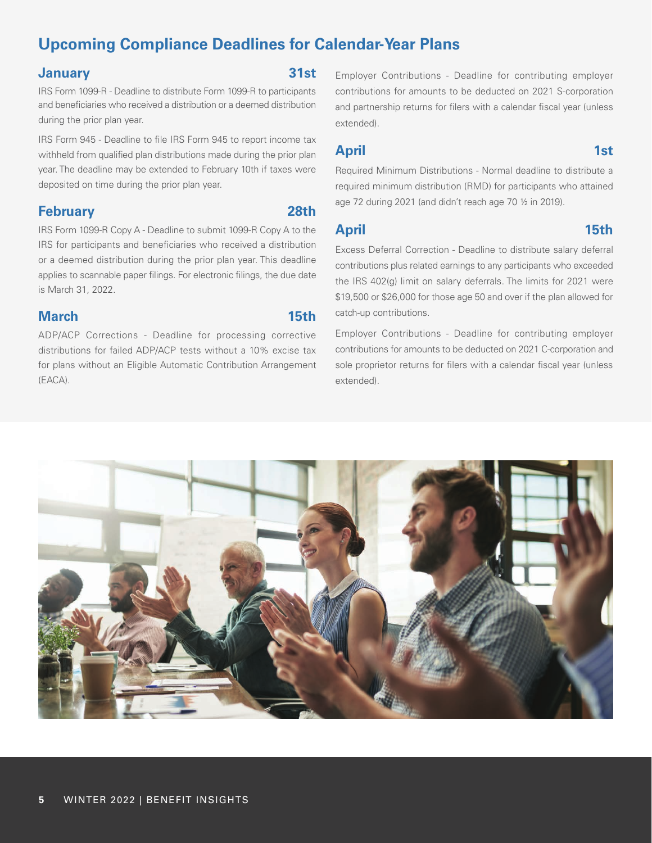## **Upcoming Compliance Deadlines for Calendar-Year Plans**

#### **January 31st**

IRS Form 1099-R - Deadline to distribute Form 1099-R to participants and beneficiaries who received a distribution or a deemed distribution during the prior plan year.

IRS Form 945 - Deadline to file IRS Form 945 to report income tax withheld from qualified plan distributions made during the prior plan year. The deadline may be extended to February 10th if taxes were deposited on time during the prior plan year.

#### **February 28th**

IRS Form 1099-R Copy A - Deadline to submit 1099-R Copy A to the IRS for participants and beneficiaries who received a distribution or a deemed distribution during the prior plan year. This deadline applies to scannable paper filings. For electronic filings, the due date is March 31, 2022.

### **March 15th**

ADP/ACP Corrections - Deadline for processing corrective distributions for failed ADP/ACP tests without a 10% excise tax for plans without an Eligible Automatic Contribution Arrangement (EACA).

Employer Contributions - Deadline for contributing employer contributions for amounts to be deducted on 2021 S-corporation and partnership returns for filers with a calendar fiscal year (unless extended).

### **April 1st**

Required Minimum Distributions - Normal deadline to distribute a required minimum distribution (RMD) for participants who attained age 72 during 2021 (and didn't reach age 70 ½ in 2019).

#### **April 15th**

Excess Deferral Correction - Deadline to distribute salary deferral contributions plus related earnings to any participants who exceeded the IRS 402(g) limit on salary deferrals. The limits for 2021 were \$19,500 or \$26,000 for those age 50 and over if the plan allowed for catch-up contributions.

Employer Contributions - Deadline for contributing employer contributions for amounts to be deducted on 2021 C-corporation and sole proprietor returns for filers with a calendar fiscal year (unless extended).